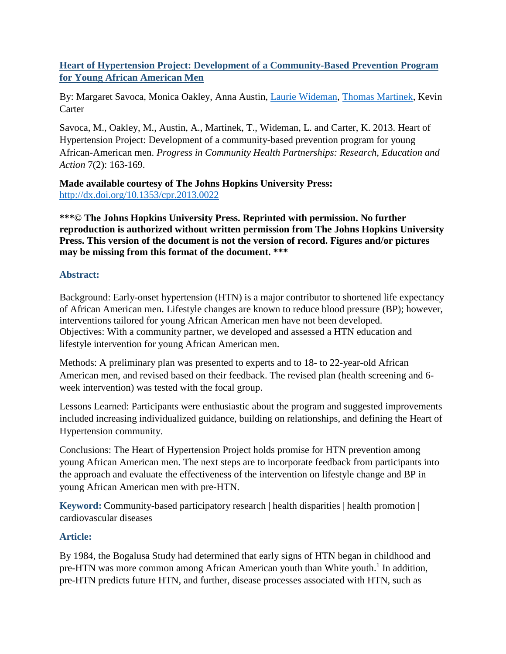**Heart of Hypertension Project: Development of a Community-Based Prevention Program for Young African American Men**

By: Margaret Savoca, Monica Oakley, Anna Austin, [Laurie Wideman,](http://libres.uncg.edu/ir/uncg/clist.aspx?id=1444) [Thomas Martinek,](http://libres.uncg.edu/ir/uncg/clist.aspx?id=1455) Kevin **Carter** 

Savoca, M., Oakley, M., Austin, A., Martinek, T., Wideman, L. and Carter, K. 2013. Heart of Hypertension Project: Development of a community-based prevention program for young African-American men. *Progress in Community Health Partnerships: Research, Education and Action* 7(2): 163-169.

**Made available courtesy of The Johns Hopkins University Press:**  <http://dx.doi.org/10.1353/cpr.2013.0022>

**\*\*\*© The Johns Hopkins University Press. Reprinted with permission. No further reproduction is authorized without written permission from The Johns Hopkins University Press. This version of the document is not the version of record. Figures and/or pictures may be missing from this format of the document. \*\*\***

## **Abstract:**

Background: Early-onset hypertension (HTN) is a major contributor to shortened life expectancy of African American men. Lifestyle changes are known to reduce blood pressure (BP); however, interventions tailored for young African American men have not been developed. Objectives: With a community partner, we developed and assessed a HTN education and lifestyle intervention for young African American men.

Methods: A preliminary plan was presented to experts and to 18- to 22-year-old African American men, and revised based on their feedback. The revised plan (health screening and 6 week intervention) was tested with the focal group.

Lessons Learned: Participants were enthusiastic about the program and suggested improvements included increasing individualized guidance, building on relationships, and defining the Heart of Hypertension community.

Conclusions: The Heart of Hypertension Project holds promise for HTN prevention among young African American men. The next steps are to incorporate feedback from participants into the approach and evaluate the effectiveness of the intervention on lifestyle change and BP in young African American men with pre-HTN.

**Keyword:** Community-based participatory research | health disparities | health promotion | cardiovascular diseases

# **Article:**

By 1984, the Bogalusa Study had determined that early signs of HTN began in childhood and pre-HTN was more common among African American youth than White youth.<sup>1</sup> In addition, pre-HTN predicts future HTN, and further, disease processes associated with HTN, such as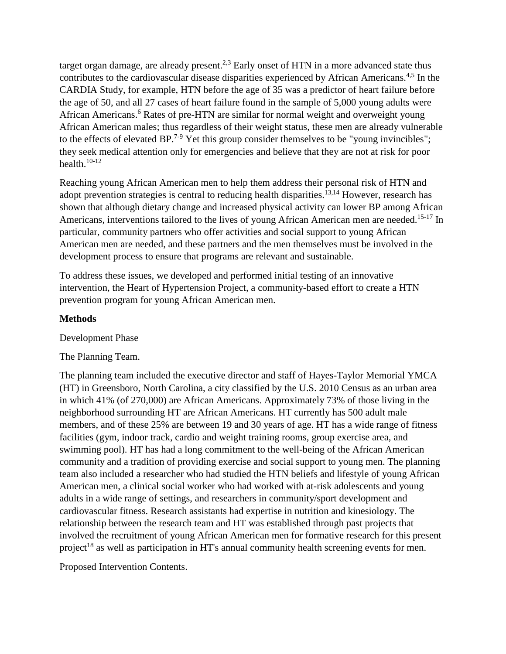target organ damage, are already present.<sup>2,3</sup> Early onset of HTN in a more advanced state thus contributes to the cardiovascular disease disparities experienced by African Americans.<sup>4,5</sup> In the CARDIA Study, for example, HTN before the age of 35 was a predictor of heart failure before the age of 50, and all 27 cases of heart failure found in the sample of 5,000 young adults were African Americans.<sup>6</sup> Rates of pre-HTN are similar for normal weight and overweight young African American males; thus regardless of their weight status, these men are already vulnerable to the effects of elevated BP.<sup>7-9</sup> Yet this group consider themselves to be "young invincibles"; they seek medical attention only for emergencies and believe that they are not at risk for poor health. $10-12$ 

Reaching young African American men to help them address their personal risk of HTN and adopt prevention strategies is central to reducing health disparities.<sup>13,14</sup> However, research has shown that although dietary change and increased physical activity can lower BP among African Americans, interventions tailored to the lives of young African American men are needed.<sup>15-17</sup> In particular, community partners who offer activities and social support to young African American men are needed, and these partners and the men themselves must be involved in the development process to ensure that programs are relevant and sustainable.

To address these issues, we developed and performed initial testing of an innovative intervention, the Heart of Hypertension Project, a community-based effort to create a HTN prevention program for young African American men.

#### **Methods**

Development Phase

The Planning Team.

The planning team included the executive director and staff of Hayes-Taylor Memorial YMCA (HT) in Greensboro, North Carolina, a city classified by the U.S. 2010 Census as an urban area in which 41% (of 270,000) are African Americans. Approximately 73% of those living in the neighborhood surrounding HT are African Americans. HT currently has 500 adult male members, and of these 25% are between 19 and 30 years of age. HT has a wide range of fitness facilities (gym, indoor track, cardio and weight training rooms, group exercise area, and swimming pool). HT has had a long commitment to the well-being of the African American community and a tradition of providing exercise and social support to young men. The planning team also included a researcher who had studied the HTN beliefs and lifestyle of young African American men, a clinical social worker who had worked with at-risk adolescents and young adults in a wide range of settings, and researchers in community/sport development and cardiovascular fitness. Research assistants had expertise in nutrition and kinesiology. The relationship between the research team and HT was established through past projects that involved the recruitment of young African American men for formative research for this present project<sup>18</sup> as well as participation in HT's annual community health screening events for men.

Proposed Intervention Contents.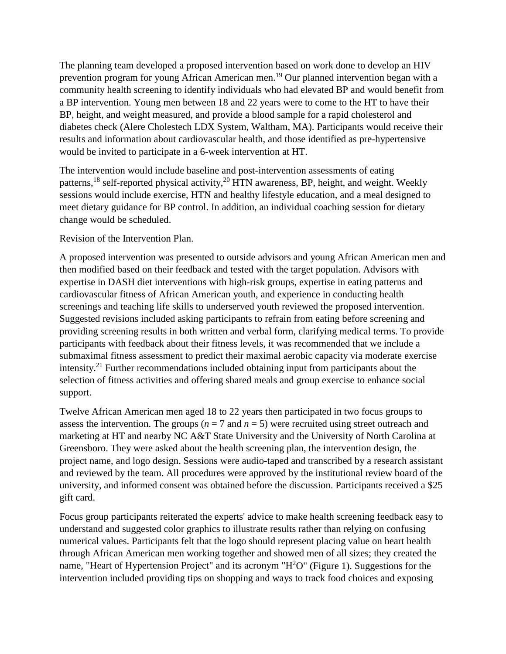The planning team developed a proposed intervention based on work done to develop an HIV prevention program for young African American men.19 Our planned intervention began with a community health screening to identify individuals who had elevated BP and would benefit from a BP intervention. Young men between 18 and 22 years were to come to the HT to have their BP, height, and weight measured, and provide a blood sample for a rapid cholesterol and diabetes check (Alere Cholestech LDX System, Waltham, MA). Participants would receive their results and information about cardiovascular health, and those identified as pre-hypertensive would be invited to participate in a 6-week intervention at HT.

The intervention would include baseline and post-intervention assessments of eating patterns,<sup>18</sup> self-reported physical activity,<sup>20</sup> HTN awareness, BP, height, and weight. Weekly sessions would include exercise, HTN and healthy lifestyle education, and a meal designed to meet dietary guidance for BP control. In addition, an individual coaching session for dietary change would be scheduled.

Revision of the Intervention Plan.

A proposed intervention was presented to outside advisors and young African American men and then modified based on their feedback and tested with the target population. Advisors with expertise in DASH diet interventions with high-risk groups, expertise in eating patterns and cardiovascular fitness of African American youth, and experience in conducting health screenings and teaching life skills to underserved youth reviewed the proposed intervention. Suggested revisions included asking participants to refrain from eating before screening and providing screening results in both written and verbal form, clarifying medical terms. To provide participants with feedback about their fitness levels, it was recommended that we include a submaximal fitness assessment to predict their maximal aerobic capacity via moderate exercise intensity.21 Further recommendations included obtaining input from participants about the selection of fitness activities and offering shared meals and group exercise to enhance social support.

Twelve African American men aged 18 to 22 years then participated in two focus groups to assess the intervention. The groups ( $n = 7$  and  $n = 5$ ) were recruited using street outreach and marketing at HT and nearby NC A&T State University and the University of North Carolina at Greensboro. They were asked about the health screening plan, the intervention design, the project name, and logo design. Sessions were audio-taped and transcribed by a research assistant and reviewed by the team. All procedures were approved by the institutional review board of the university, and informed consent was obtained before the discussion. Participants received a \$25 gift card.

Focus group participants reiterated the experts' advice to make health screening feedback easy to understand and suggested color graphics to illustrate results rather than relying on confusing numerical values. Participants felt that the logo should represent placing value on heart health through African American men working together and showed men of all sizes; they created the name, "Heart of Hypertension Project" and its acronym "H<sup>2</sup>O" (Figure 1). Suggestions for the intervention included providing tips on shopping and ways to track food choices and exposing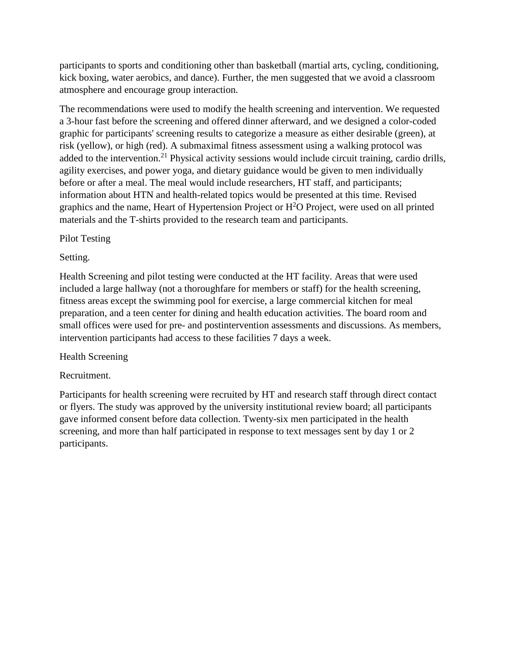participants to sports and conditioning other than basketball (martial arts, cycling, conditioning, kick boxing, water aerobics, and dance). Further, the men suggested that we avoid a classroom atmosphere and encourage group interaction.

The recommendations were used to modify the health screening and intervention. We requested a 3-hour fast before the screening and offered dinner afterward, and we designed a color-coded graphic for participants' screening results to categorize a measure as either desirable (green), at risk (yellow), or high (red). A submaximal fitness assessment using a walking protocol was added to the intervention.<sup>21</sup> Physical activity sessions would include circuit training, cardio drills, agility exercises, and power yoga, and dietary guidance would be given to men individually before or after a meal. The meal would include researchers, HT staff, and participants; information about HTN and health-related topics would be presented at this time. Revised graphics and the name, Heart of Hypertension Project or  $H<sup>2</sup>O$  Project, were used on all printed materials and the T-shirts provided to the research team and participants.

## Pilot Testing

## Setting.

Health Screening and pilot testing were conducted at the HT facility. Areas that were used included a large hallway (not a thoroughfare for members or staff) for the health screening, fitness areas except the swimming pool for exercise, a large commercial kitchen for meal preparation, and a teen center for dining and health education activities. The board room and small offices were used for pre- and postintervention assessments and discussions. As members, intervention participants had access to these facilities 7 days a week.

### Health Screening

# Recruitment.

Participants for health screening were recruited by HT and research staff through direct contact or flyers. The study was approved by the university institutional review board; all participants gave informed consent before data collection. Twenty-six men participated in the health screening, and more than half participated in response to text messages sent by day 1 or 2 participants.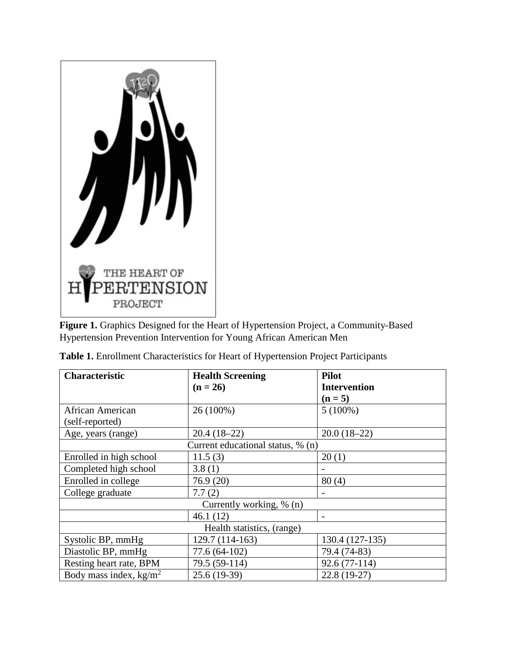

**Figure 1.** Graphics Designed for the Heart of Hypertension Project, a Community-Based Hypertension Prevention Intervention for Young African American Men

| Characteristic                    | <b>Health Screening</b> | <b>Pilot</b>        |  |  |
|-----------------------------------|-------------------------|---------------------|--|--|
|                                   | $(n = 26)$              | <b>Intervention</b> |  |  |
|                                   |                         | $(n = 5)$           |  |  |
| African American                  | 26 (100%)               | $5(100\%)$          |  |  |
| (self-reported)                   |                         |                     |  |  |
| Age, years (range)                | $20.4(18-22)$           | $20.0(18-22)$       |  |  |
| Current educational status, % (n) |                         |                     |  |  |
| Enrolled in high school           | 11.5(3)                 | 20(1)               |  |  |
| Completed high school             | 3.8(1)                  |                     |  |  |
| Enrolled in college               | 76.9(20)                | 80(4)               |  |  |
| College graduate                  | 7.7(2)                  |                     |  |  |
| Currently working, % (n)          |                         |                     |  |  |
|                                   | 46.1(12)                |                     |  |  |
| Health statistics, (range)        |                         |                     |  |  |
| Systolic BP, mmHg                 | 129.7 (114-163)         | 130.4 (127-135)     |  |  |
| Diastolic BP, mmHg                | 77.6 (64-102)           | 79.4 (74-83)        |  |  |
| Resting heart rate, BPM           | 79.5 (59-114)           | $92.6(77-114)$      |  |  |
| Body mass index, $kg/m2$          | $25.6(19-39)$           | $22.8(19-27)$       |  |  |

|  |  | Table 1. Enrollment Characteristics for Heart of Hypertension Project Participants |  |  |  |  |
|--|--|------------------------------------------------------------------------------------|--|--|--|--|
|--|--|------------------------------------------------------------------------------------|--|--|--|--|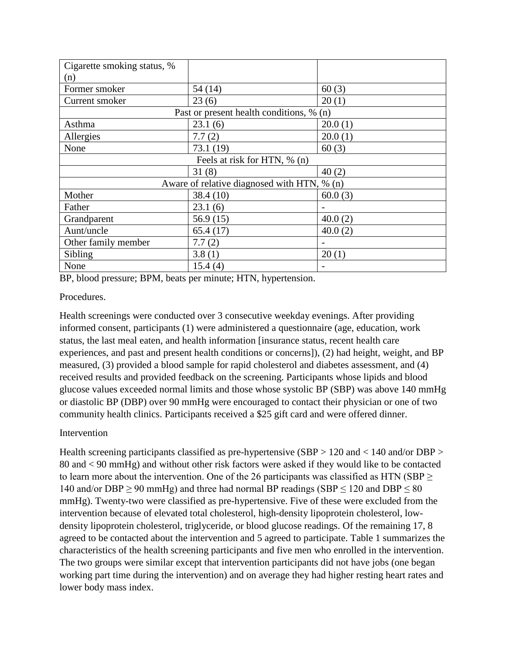| Cigarette smoking status, %              |                                             |         |  |  |
|------------------------------------------|---------------------------------------------|---------|--|--|
| (n)                                      |                                             |         |  |  |
| Former smoker                            | 54(14)                                      | 60(3)   |  |  |
| Current smoker                           | 23(6)                                       | 20(1)   |  |  |
| Past or present health conditions, % (n) |                                             |         |  |  |
| Asthma                                   | 23.1(6)                                     | 20.0(1) |  |  |
| Allergies                                | 7.7(2)                                      | 20.0(1) |  |  |
| None                                     | 73.1 (19)                                   | 60(3)   |  |  |
| Feels at risk for HTN, % (n)             |                                             |         |  |  |
|                                          | 31(8)                                       | 40(2)   |  |  |
|                                          | Aware of relative diagnosed with HTN, % (n) |         |  |  |
| Mother                                   | 38.4(10)                                    | 60.0(3) |  |  |
| Father                                   | 23.1(6)                                     |         |  |  |
| Grandparent                              | 56.9(15)                                    | 40.0(2) |  |  |
| Aunt/uncle                               | 65.4(17)                                    | 40.0(2) |  |  |
| Other family member                      | 7.7(2)                                      |         |  |  |
| Sibling                                  | 3.8(1)                                      | 20(1)   |  |  |
| None                                     | 15.4(4)                                     |         |  |  |

BP, blood pressure; BPM, beats per minute; HTN, hypertension.

### Procedures.

Health screenings were conducted over 3 consecutive weekday evenings. After providing informed consent, participants (1) were administered a questionnaire (age, education, work status, the last meal eaten, and health information [insurance status, recent health care experiences, and past and present health conditions or concerns]), (2) had height, weight, and BP measured, (3) provided a blood sample for rapid cholesterol and diabetes assessment, and (4) received results and provided feedback on the screening. Participants whose lipids and blood glucose values exceeded normal limits and those whose systolic BP (SBP) was above 140 mmHg or diastolic BP (DBP) over 90 mmHg were encouraged to contact their physician or one of two community health clinics. Participants received a \$25 gift card and were offered dinner.

# Intervention

Health screening participants classified as pre-hypertensive (SBP > 120 and < 140 and/or DBP > 80 and < 90 mmHg) and without other risk factors were asked if they would like to be contacted to learn more about the intervention. One of the 26 participants was classified as HTN (SBP  $\geq$ 140 and/or DBP  $\geq$  90 mmHg) and three had normal BP readings (SBP  $\leq$  120 and DBP  $\leq$  80 mmHg). Twenty-two were classified as pre-hypertensive. Five of these were excluded from the intervention because of elevated total cholesterol, high-density lipoprotein cholesterol, lowdensity lipoprotein cholesterol, triglyceride, or blood glucose readings. Of the remaining 17, 8 agreed to be contacted about the intervention and 5 agreed to participate. Table 1 summarizes the characteristics of the health screening participants and five men who enrolled in the intervention. The two groups were similar except that intervention participants did not have jobs (one began working part time during the intervention) and on average they had higher resting heart rates and lower body mass index.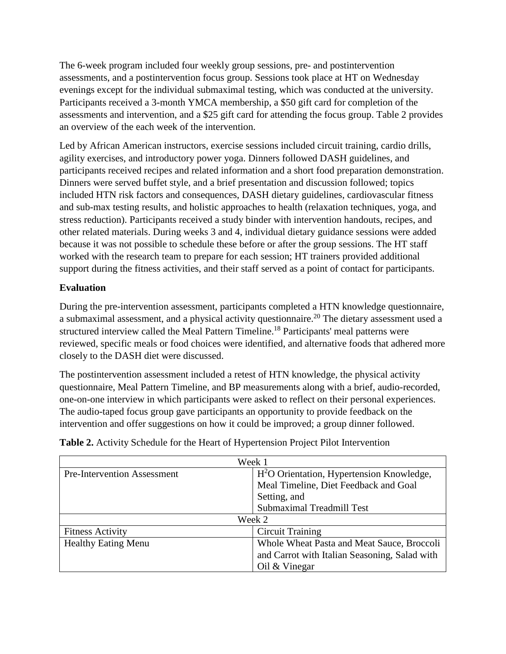The 6-week program included four weekly group sessions, pre- and postintervention assessments, and a postintervention focus group. Sessions took place at HT on Wednesday evenings except for the individual submaximal testing, which was conducted at the university. Participants received a 3-month YMCA membership, a \$50 gift card for completion of the assessments and intervention, and a \$25 gift card for attending the focus group. Table 2 provides an overview of the each week of the intervention.

Led by African American instructors, exercise sessions included circuit training, cardio drills, agility exercises, and introductory power yoga. Dinners followed DASH guidelines, and participants received recipes and related information and a short food preparation demonstration. Dinners were served buffet style, and a brief presentation and discussion followed; topics included HTN risk factors and consequences, DASH dietary guidelines, cardiovascular fitness and sub-max testing results, and holistic approaches to health (relaxation techniques, yoga, and stress reduction). Participants received a study binder with intervention handouts, recipes, and other related materials. During weeks 3 and 4, individual dietary guidance sessions were added because it was not possible to schedule these before or after the group sessions. The HT staff worked with the research team to prepare for each session; HT trainers provided additional support during the fitness activities, and their staff served as a point of contact for participants.

## **Evaluation**

During the pre-intervention assessment, participants completed a HTN knowledge questionnaire, a submaximal assessment, and a physical activity questionnaire.<sup>20</sup> The dietary assessment used a structured interview called the Meal Pattern Timeline.<sup>18</sup> Participants' meal patterns were reviewed, specific meals or food choices were identified, and alternative foods that adhered more closely to the DASH diet were discussed.

The postintervention assessment included a retest of HTN knowledge, the physical activity questionnaire, Meal Pattern Timeline, and BP measurements along with a brief, audio-recorded, one-on-one interview in which participants were asked to reflect on their personal experiences. The audio-taped focus group gave participants an opportunity to provide feedback on the intervention and offer suggestions on how it could be improved; a group dinner followed.

| Week 1                             |                                                       |  |
|------------------------------------|-------------------------------------------------------|--|
| <b>Pre-Intervention Assessment</b> | H <sup>2</sup> O Orientation, Hypertension Knowledge, |  |
|                                    | Meal Timeline, Diet Feedback and Goal                 |  |
|                                    | Setting, and                                          |  |
|                                    | <b>Submaximal Treadmill Test</b>                      |  |
| Week 2                             |                                                       |  |
| <b>Fitness Activity</b>            | <b>Circuit Training</b>                               |  |
| <b>Healthy Eating Menu</b>         | Whole Wheat Pasta and Meat Sauce, Broccoli            |  |
|                                    | and Carrot with Italian Seasoning, Salad with         |  |
|                                    | Oil $&$ Vinegar                                       |  |

**Table 2.** Activity Schedule for the Heart of Hypertension Project Pilot Intervention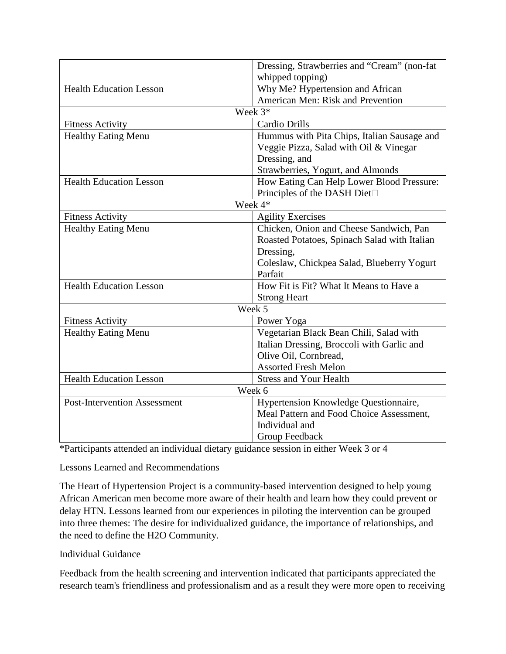|                                     | Dressing, Strawberries and "Cream" (non-fat  |  |  |
|-------------------------------------|----------------------------------------------|--|--|
|                                     | whipped topping)                             |  |  |
| <b>Health Education Lesson</b>      | Why Me? Hypertension and African             |  |  |
|                                     | American Men: Risk and Prevention            |  |  |
|                                     | Week 3*                                      |  |  |
| <b>Fitness Activity</b>             | Cardio Drills                                |  |  |
| <b>Healthy Eating Menu</b>          | Hummus with Pita Chips, Italian Sausage and  |  |  |
|                                     | Veggie Pizza, Salad with Oil & Vinegar       |  |  |
|                                     | Dressing, and                                |  |  |
|                                     | Strawberries, Yogurt, and Almonds            |  |  |
| <b>Health Education Lesson</b>      | How Eating Can Help Lower Blood Pressure:    |  |  |
|                                     | Principles of the DASH Diet□                 |  |  |
| Week 4*                             |                                              |  |  |
| <b>Fitness Activity</b>             | <b>Agility Exercises</b>                     |  |  |
| <b>Healthy Eating Menu</b>          | Chicken, Onion and Cheese Sandwich, Pan      |  |  |
|                                     | Roasted Potatoes, Spinach Salad with Italian |  |  |
|                                     | Dressing,                                    |  |  |
|                                     | Coleslaw, Chickpea Salad, Blueberry Yogurt   |  |  |
|                                     | Parfait                                      |  |  |
| <b>Health Education Lesson</b>      | How Fit is Fit? What It Means to Have a      |  |  |
|                                     | <b>Strong Heart</b>                          |  |  |
| Week 5                              |                                              |  |  |
| <b>Fitness Activity</b>             | Power Yoga                                   |  |  |
| <b>Healthy Eating Menu</b>          | Vegetarian Black Bean Chili, Salad with      |  |  |
|                                     | Italian Dressing, Broccoli with Garlic and   |  |  |
|                                     | Olive Oil, Cornbread,                        |  |  |
|                                     | <b>Assorted Fresh Melon</b>                  |  |  |
| <b>Health Education Lesson</b>      | <b>Stress and Your Health</b>                |  |  |
|                                     | Week 6                                       |  |  |
| <b>Post-Intervention Assessment</b> | Hypertension Knowledge Questionnaire,        |  |  |
|                                     | Meal Pattern and Food Choice Assessment,     |  |  |
|                                     | Individual and                               |  |  |
|                                     | Group Feedback                               |  |  |

\*Participants attended an individual dietary guidance session in either Week 3 or 4

### Lessons Learned and Recommendations

The Heart of Hypertension Project is a community-based intervention designed to help young African American men become more aware of their health and learn how they could prevent or delay HTN. Lessons learned from our experiences in piloting the intervention can be grouped into three themes: The desire for individualized guidance, the importance of relationships, and the need to define the H2O Community.

### Individual Guidance

Feedback from the health screening and intervention indicated that participants appreciated the research team's friendliness and professionalism and as a result they were more open to receiving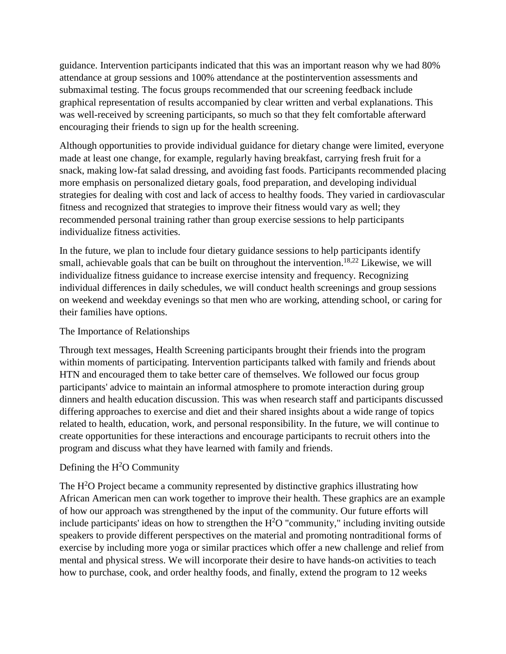guidance. Intervention participants indicated that this was an important reason why we had 80% attendance at group sessions and 100% attendance at the postintervention assessments and submaximal testing. The focus groups recommended that our screening feedback include graphical representation of results accompanied by clear written and verbal explanations. This was well-received by screening participants, so much so that they felt comfortable afterward encouraging their friends to sign up for the health screening.

Although opportunities to provide individual guidance for dietary change were limited, everyone made at least one change, for example, regularly having breakfast, carrying fresh fruit for a snack, making low-fat salad dressing, and avoiding fast foods. Participants recommended placing more emphasis on personalized dietary goals, food preparation, and developing individual strategies for dealing with cost and lack of access to healthy foods. They varied in cardiovascular fitness and recognized that strategies to improve their fitness would vary as well; they recommended personal training rather than group exercise sessions to help participants individualize fitness activities.

In the future, we plan to include four dietary guidance sessions to help participants identify small, achievable goals that can be built on throughout the intervention.<sup>18,22</sup> Likewise, we will individualize fitness guidance to increase exercise intensity and frequency. Recognizing individual differences in daily schedules, we will conduct health screenings and group sessions on weekend and weekday evenings so that men who are working, attending school, or caring for their families have options.

### The Importance of Relationships

Through text messages, Health Screening participants brought their friends into the program within moments of participating. Intervention participants talked with family and friends about HTN and encouraged them to take better care of themselves. We followed our focus group participants' advice to maintain an informal atmosphere to promote interaction during group dinners and health education discussion. This was when research staff and participants discussed differing approaches to exercise and diet and their shared insights about a wide range of topics related to health, education, work, and personal responsibility. In the future, we will continue to create opportunities for these interactions and encourage participants to recruit others into the program and discuss what they have learned with family and friends.

# Defining the  $H<sup>2</sup>O$  Community

The  $H<sup>2</sup>O$  Project became a community represented by distinctive graphics illustrating how African American men can work together to improve their health. These graphics are an example of how our approach was strengthened by the input of the community. Our future efforts will include participants' ideas on how to strengthen the  $H^2O$  "community," including inviting outside speakers to provide different perspectives on the material and promoting nontraditional forms of exercise by including more yoga or similar practices which offer a new challenge and relief from mental and physical stress. We will incorporate their desire to have hands-on activities to teach how to purchase, cook, and order healthy foods, and finally, extend the program to 12 weeks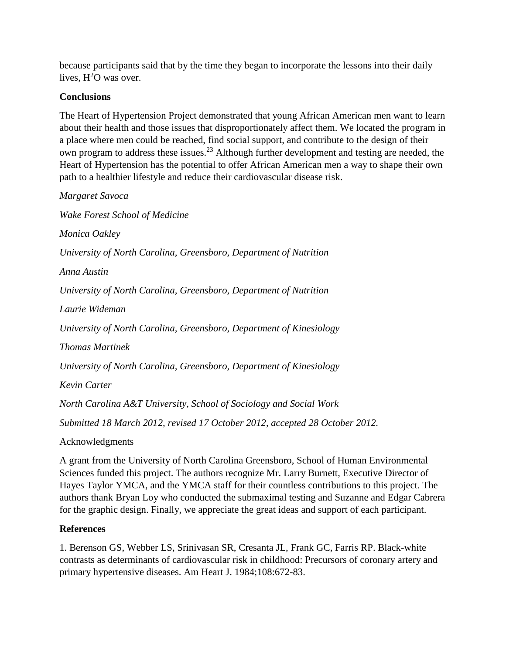because participants said that by the time they began to incorporate the lessons into their daily lives,  $H^2O$  was over.

## **Conclusions**

The Heart of Hypertension Project demonstrated that young African American men want to learn about their health and those issues that disproportionately affect them. We located the program in a place where men could be reached, find social support, and contribute to the design of their own program to address these issues.<sup>23</sup> Although further development and testing are needed, the Heart of Hypertension has the potential to offer African American men a way to shape their own path to a healthier lifestyle and reduce their cardiovascular disease risk.

*Margaret Savoca Wake Forest School of Medicine Monica Oakley University of North Carolina, Greensboro, Department of Nutrition Anna Austin University of North Carolina, Greensboro, Department of Nutrition Laurie Wideman University of North Carolina, Greensboro, Department of Kinesiology Thomas Martinek University of North Carolina, Greensboro, Department of Kinesiology Kevin Carter North Carolina A&T University, School of Sociology and Social Work Submitted 18 March 2012, revised 17 October 2012, accepted 28 October 2012.*

Acknowledgments

A grant from the University of North Carolina Greensboro, School of Human Environmental Sciences funded this project. The authors recognize Mr. Larry Burnett, Executive Director of Hayes Taylor YMCA, and the YMCA staff for their countless contributions to this project. The authors thank Bryan Loy who conducted the submaximal testing and Suzanne and Edgar Cabrera for the graphic design. Finally, we appreciate the great ideas and support of each participant.

### **References**

1. Berenson GS, Webber LS, Srinivasan SR, Cresanta JL, Frank GC, Farris RP. Black-white contrasts as determinants of cardiovascular risk in childhood: Precursors of coronary artery and primary hypertensive diseases. Am Heart J. 1984;108:672-83.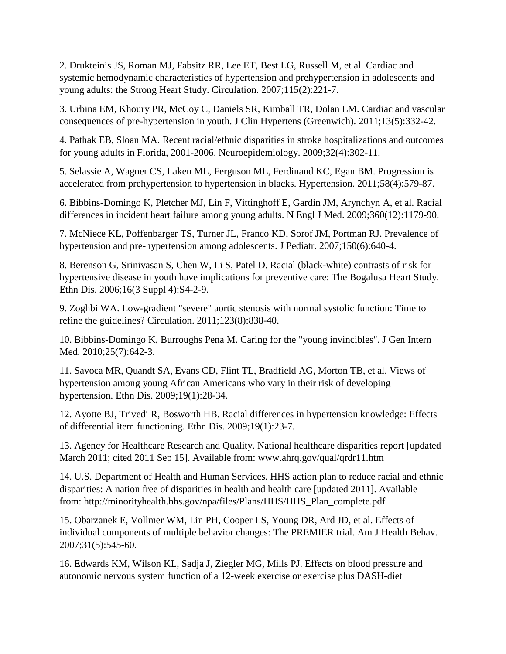2. Drukteinis JS, Roman MJ, Fabsitz RR, Lee ET, Best LG, Russell M, et al. Cardiac and systemic hemodynamic characteristics of hypertension and prehypertension in adolescents and young adults: the Strong Heart Study. Circulation. 2007;115(2):221-7.

3. Urbina EM, Khoury PR, McCoy C, Daniels SR, Kimball TR, Dolan LM. Cardiac and vascular consequences of pre-hypertension in youth. J Clin Hypertens (Greenwich). 2011;13(5):332-42.

4. Pathak EB, Sloan MA. Recent racial/ethnic disparities in stroke hospitalizations and outcomes for young adults in Florida, 2001-2006. Neuroepidemiology. 2009;32(4):302-11.

5. Selassie A, Wagner CS, Laken ML, Ferguson ML, Ferdinand KC, Egan BM. Progression is accelerated from prehypertension to hypertension in blacks. Hypertension. 2011;58(4):579-87.

6. Bibbins-Domingo K, Pletcher MJ, Lin F, Vittinghoff E, Gardin JM, Arynchyn A, et al. Racial differences in incident heart failure among young adults. N Engl J Med. 2009;360(12):1179-90.

7. McNiece KL, Poffenbarger TS, Turner JL, Franco KD, Sorof JM, Portman RJ. Prevalence of hypertension and pre-hypertension among adolescents. J Pediatr. 2007;150(6):640-4.

8. Berenson G, Srinivasan S, Chen W, Li S, Patel D. Racial (black-white) contrasts of risk for hypertensive disease in youth have implications for preventive care: The Bogalusa Heart Study. Ethn Dis. 2006;16(3 Suppl 4):S4-2-9.

9. Zoghbi WA. Low-gradient "severe" aortic stenosis with normal systolic function: Time to refine the guidelines? Circulation. 2011;123(8):838-40.

10. Bibbins-Domingo K, Burroughs Pena M. Caring for the "young invincibles". J Gen Intern Med. 2010;25(7):642-3.

11. Savoca MR, Quandt SA, Evans CD, Flint TL, Bradfield AG, Morton TB, et al. Views of hypertension among young African Americans who vary in their risk of developing hypertension. Ethn Dis. 2009;19(1):28-34.

12. Ayotte BJ, Trivedi R, Bosworth HB. Racial differences in hypertension knowledge: Effects of differential item functioning. Ethn Dis. 2009;19(1):23-7.

13. Agency for Healthcare Research and Quality. National healthcare disparities report [updated March 2011; cited 2011 Sep 15]. Available from: www.ahrq.gov/qual/qrdr11.htm

14. U.S. Department of Health and Human Services. HHS action plan to reduce racial and ethnic disparities: A nation free of disparities in health and health care [updated 2011]. Available from: http://minorityhealth.hhs.gov/npa/files/Plans/HHS/HHS\_Plan\_complete.pdf

15. Obarzanek E, Vollmer WM, Lin PH, Cooper LS, Young DR, Ard JD, et al. Effects of individual components of multiple behavior changes: The PREMIER trial. Am J Health Behav. 2007;31(5):545-60.

16. Edwards KM, Wilson KL, Sadja J, Ziegler MG, Mills PJ. Effects on blood pressure and autonomic nervous system function of a 12-week exercise or exercise plus DASH-diet